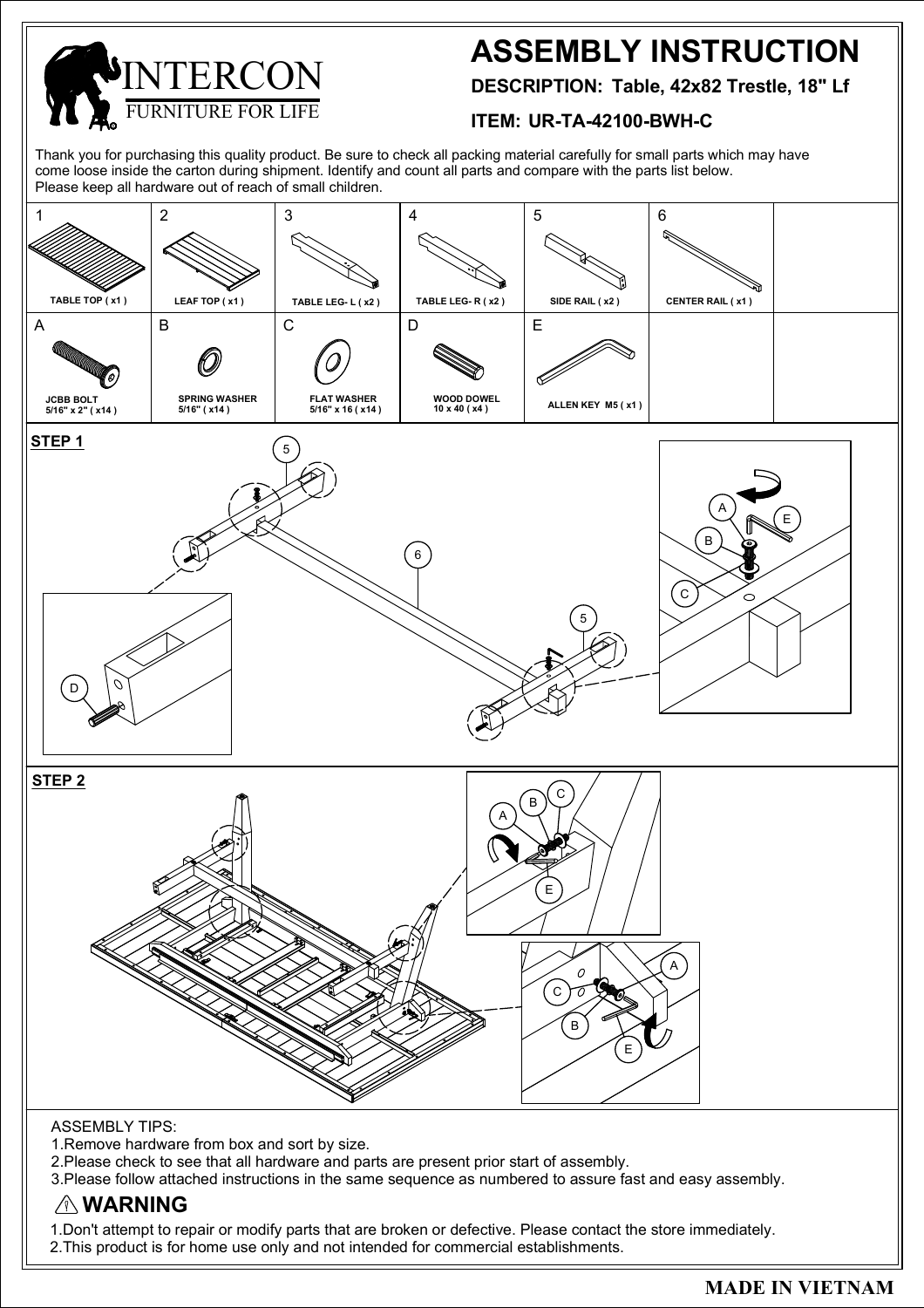URNITURE FOR LIFE  $FRR$ R

## **ASSEMBLY INSTRUCTION**

**DESCRIPTION: Table, 42x82 Trestle, 18" Lf**

## **ITEM: UR-TA-42100-BWH-C**

Thank you for purchasing this quality product. Be sure to check all packing material carefully for small parts which may have come loose inside the carton during shipment. Identify and count all parts and compare with the parts list below. Please keep all hardware out of reach of small children.



1.Don't attempt to repair or modify parts that are broken or defective. Please contact the store immediately.

2.This product is for home use only and not intended for commercial establishments.